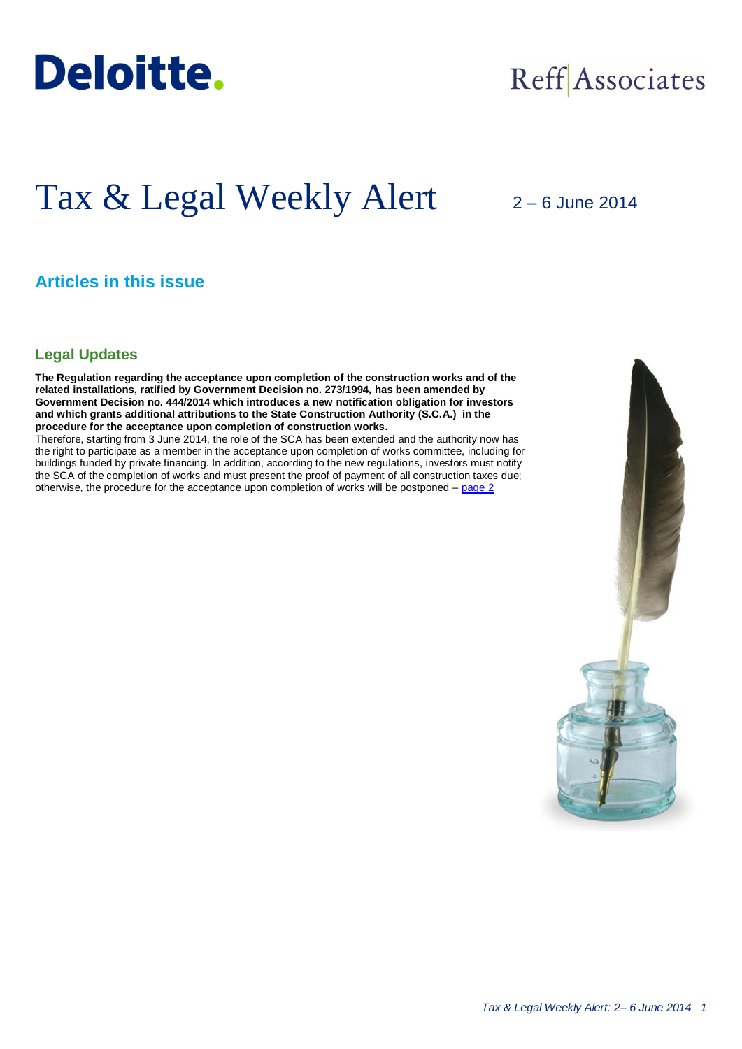

## Reff Associates

# Tax & Legal Weekly Alert

2 – 6 June 2014

## **Articles in this issue**

### **Legal Updates**

**The Regulation regarding the acceptance upon completion of the construction works and of the related installations, ratified by Government Decision no. 273/1994, has been amended by Government Decision no. 444/2014 which introduces a new notification obligation for investors and which grants additional attributions to the State Construction Authority (S.C.A.) in the procedure for the acceptance upon completion of construction works.**

Therefore, starting from 3 June 2014, the role of the SCA has been extended and the authority now has the right to participate as a member in the acceptance upon completion of works committee, including for buildings funded by private financing. In addition, according to the new regulations, investors must notify the SCA of the completion of works and must present the proof of payment of all construction taxes due; otherwise, the procedure for the acceptance upon completion of works will be postponed – [page 2](#page-1-0)

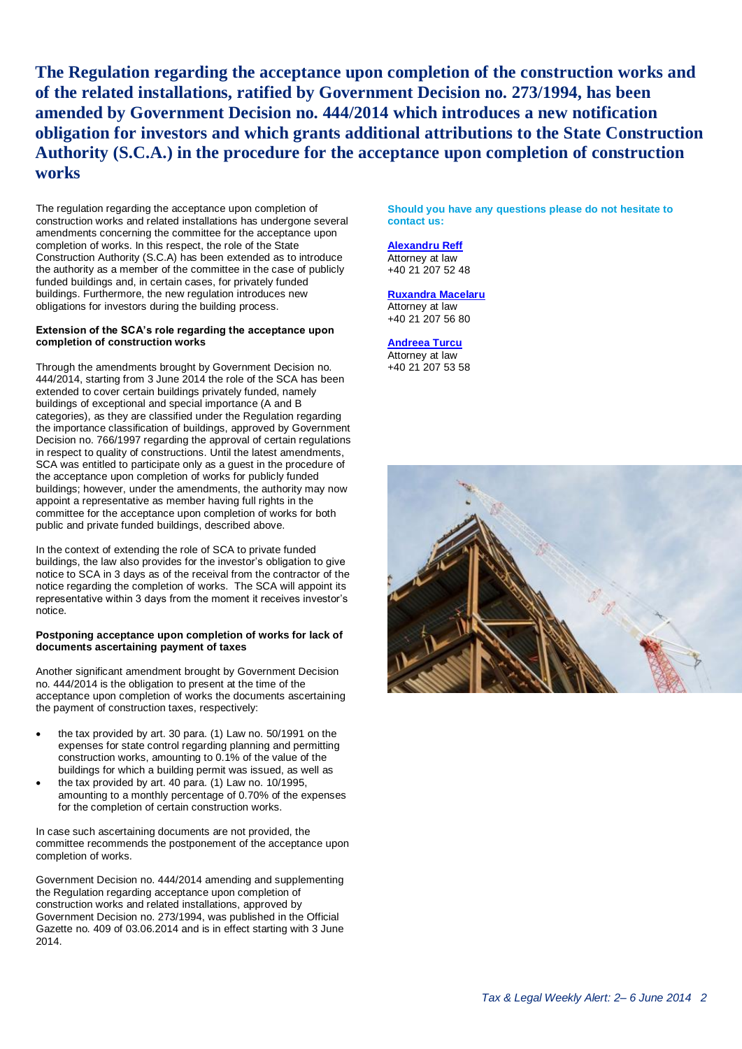**The Regulation regarding the acceptance upon completion of the construction works and of the related installations, ratified by Government Decision no. 273/1994, has been amended by Government Decision no. 444/2014 which introduces a new notification obligation for investors and which grants additional attributions to the State Construction Authority (S.C.A.) in the procedure for the acceptance upon completion of construction works**

<span id="page-1-0"></span>The regulation regarding the acceptance upon completion of construction works and related installations has undergone several amendments concerning the committee for the acceptance upon completion of works. In this respect, the role of the State Construction Authority (S.C.A) has been extended as to introduce the authority as a member of the committee in the case of publicly funded buildings and, in certain cases, for privately funded buildings. Furthermore, the new regulation introduces new obligations for investors during the building process.

#### **Extension of the SCA's role regarding the acceptance upon completion of construction works**

Through the amendments brought by Government Decision no. 444/2014, starting from 3 June 2014 the role of the SCA has been extended to cover certain buildings privately funded, namely buildings of exceptional and special importance (A and B categories), as they are classified under the Regulation regarding the importance classification of buildings, approved by Government Decision no. 766/1997 regarding the approval of certain regulations in respect to quality of constructions. Until the latest amendments, SCA was entitled to participate only as a guest in the procedure of the acceptance upon completion of works for publicly funded buildings; however, under the amendments, the authority may now appoint a representative as member having full rights in the committee for the acceptance upon completion of works for both public and private funded buildings, described above.

In the context of extending the role of SCA to private funded buildings, the law also provides for the investor's obligation to give notice to SCA in 3 days as of the receival from the contractor of the notice regarding the completion of works. The SCA will appoint its representative within 3 days from the moment it receives investor's notice.

#### **Postponing acceptance upon completion of works for lack of documents ascertaining payment of taxes**

Another significant amendment brought by Government Decision no. 444/2014 is the obligation to present at the time of the acceptance upon completion of works the documents ascertaining the payment of construction taxes, respectively:

- the tax provided by art. 30 para. (1) Law no. 50/1991 on the expenses for state control regarding planning and permitting construction works, amounting to 0.1% of the value of the buildings for which a building permit was issued, as well as
- the tax provided by art. 40 para. (1) Law no. 10/1995, amounting to a monthly percentage of 0.70% of the expenses for the completion of certain construction works.

In case such ascertaining documents are not provided, the committee recommends the postponement of the acceptance upon completion of works.

Government Decision no. 444/2014 amending and supplementing the Regulation regarding acceptance upon completion of construction works and related installations, approved by Government Decision no. 273/1994, was published in the Official Gazette no. 409 of 03.06.2014 and is in effect starting with 3 June 2014.

**Should you have any questions please do not hesitate to contact us:**

#### **[Alexandru Reff](mailto:areff@deloitteCE.com)**

Attorney at law +40 21 207 52 48

#### **[Ruxandra Macelaru](mailto:rmacelaru@deloittece.com)**

Attorney at law +40 21 207 56 80

**[Andreea Turcu](mailto:aturcu@deloittece.com)** Attorney at law +40 21 207 53 58